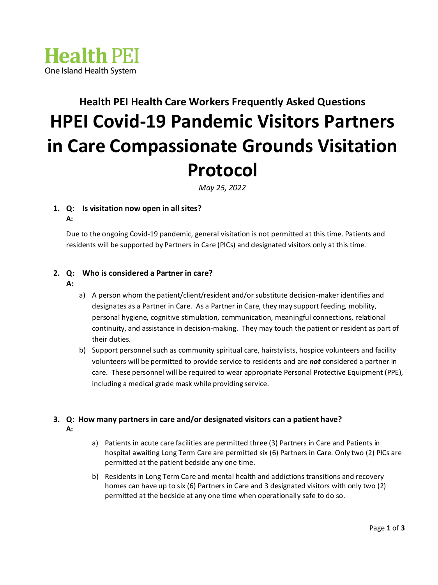

# **Health PEI Health Care Workers Frequently Asked Questions HPEI Covid-19 Pandemic Visitors Partners in Care Compassionate Grounds Visitation Protocol**

*May 25, 2022*

#### **1. Q: Is visitation now open in all sites? A:**

Due to the ongoing Covid-19 pandemic, general visitation is not permitted at this time. Patients and residents will be supported by Partners in Care (PICs) and designated visitors only at this time.

### **2. Q: Who is considered a Partner in care?**

- **A:**
- a) A person whom the patient/client/resident and/or substitute decision-maker identifies and designates as a Partner in Care. As a Partner in Care, they may support feeding, mobility, personal hygiene, cognitive stimulation, communication, meaningful connections, relational continuity, and assistance in decision-making. They may touch the patient or resident as part of their duties.
- b) Support personnel such as community spiritual care, hairstylists, hospice volunteers and facility volunteers will be permitted to provide service to residents and are *not* considered a partner in care. These personnel will be required to wear appropriate Personal Protective Equipment (PPE), including a medical grade mask while providing service.

#### **3. Q: How many partners in care and/or designated visitors can a patient have? A:**

- a) Patients in acute care facilities are permitted three (3) Partners in Care and Patients in hospital awaiting Long Term Care are permitted six (6) Partners in Care. Only two (2) PICs are permitted at the patient bedside any one time.
- b) Residents in Long Term Care and mental health and addictions transitions and recovery homes can have up to six (6) Partners in Care and 3 designated visitors with only two (2) permitted at the bedside at any one time when operationally safe to do so.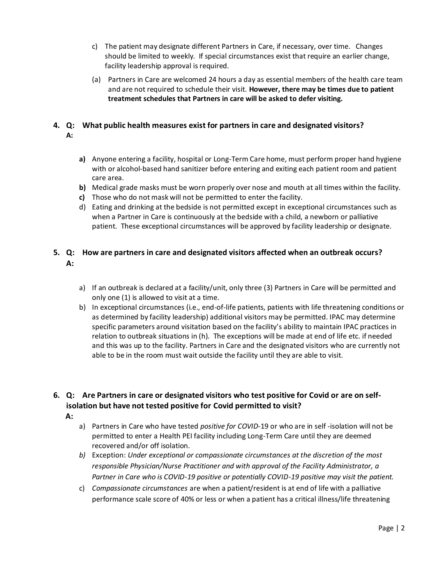- c) The patient may designate different Partners in Care, if necessary, over time. Changes should be limited to weekly. If special circumstances exist that require an earlier change, facility leadership approval is required.
- (a) Partners in Care are welcomed 24 hours a day as essential members of the health care team and are not required to schedule their visit. **However, there may be times due to patient treatment schedules that Partners in care will be asked to defer visiting.**

#### **4. Q: What public health measures exist for partners in care and designated visitors? A:**

- **a)** Anyone entering a facility, hospital or Long-Term Care home, must perform proper hand hygiene with or alcohol-based hand sanitizer before entering and exiting each patient room and patient care area.
- **b)** Medical grade masks must be worn properly over nose and mouth at all times within the facility.
- **c)** Those who do not mask will not be permitted to enter the facility.
- d) Eating and drinking at the bedside is not permitted except in exceptional circumstances such as when a Partner in Care is continuously at the bedside with a child, a newborn or palliative patient. These exceptional circumstances will be approved by facility leadership or designate.

### **5. Q: How are partners in care and designated visitors affected when an outbreak occurs? A:**

- a) If an outbreak is declared at a facility/unit, only three (3) Partners in Care will be permitted and only one (1) is allowed to visit at a time.
- b) In exceptional circumstances (i.e., end-of-life patients, patients with life threatening conditions or as determined by facility leadership) additional visitors may be permitted. IPAC may determine specific parameters around visitation based on the facility's ability to maintain IPAC practices in relation to outbreak situations in (h). The exceptions will be made at end of life etc. if needed and this was up to the facility. Partners in Care and the designated visitors who are currently not able to be in the room must wait outside the facility until they are able to visit.

### **6. Q: Are Partners in care or designated visitors who test positive for Covid or are on selfisolation but have not tested positive for Covid permitted to visit?**

- **A:**
- a) Partners in Care who have tested *positive for COVID-*19 or who are in self -isolation will not be permitted to enter a Health PEI facility including Long-Term Care until they are deemed recovered and/or off isolation.
- *b)* Exception: *Under exceptional or compassionate circumstances at the discretion of the most responsible Physician/Nurse Practitioner and with approval of the Facility Administrator, a Partner in Care who is COVID-19 positive or potentially COVID-19 positive may visit the patient.*
- c) *Compassionate circumstances* are when a patient/resident is at end of life with a palliative performance scale score of 40% or less or when a patient has a critical illness/life threatening